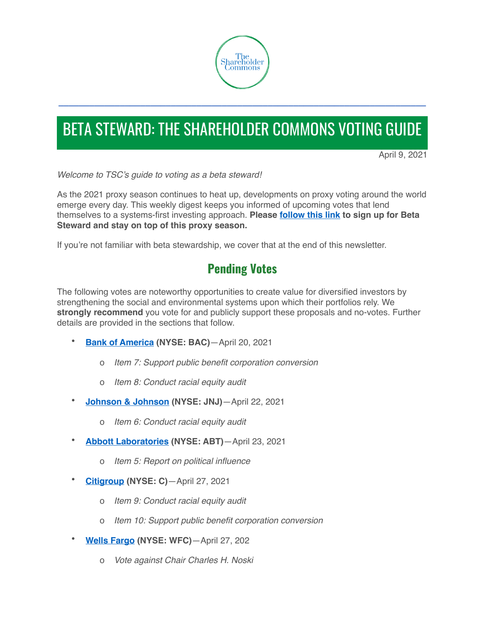

# BETA STEWARD: THE SHAREHOLDER COMMONS VOTING GUIDE

**\_\_\_\_\_\_\_\_\_\_\_\_\_\_\_\_\_\_\_\_\_\_\_\_\_\_\_\_\_\_\_\_\_\_\_\_\_\_\_\_\_\_\_\_\_\_\_\_\_\_\_\_\_\_\_\_\_\_\_\_\_\_\_\_\_\_\_\_\_\_\_\_**

April 9, 2021

*Welcome to TSC's guide to voting as a beta steward!* 

As the 2021 proxy season continues to heat up, developments on proxy voting around the world emerge every day. This weekly digest keeps you informed of upcoming votes that lend themselves to a systems-first investing approach. **Please [follow this link](https://clicks.aweber.com/y/ct/?l=9wnAq&m=gN.E9N6VYgyzSl.&b=P8fDUMVH6vcHCYfAaHVpxQ) to sign up for Beta Steward and stay on top of this proxy season.** 

If you're not familiar with beta stewardship, we cover that at the end of this newsletter.

# **Pending Votes**

The following votes are noteworthy opportunities to create value for diversified investors by strengthening the social and environmental systems upon which their portfolios rely. We **strongly recommend** you vote for and publicly support these proposals and no-votes. Further details are provided in the sections that follow.

- **[Bank of America](https://www.sec.gov/Archives/edgar/data/0000070858/000119312521072547/d937842ddef14a.htm) (NYSE: BAC)**—April 20, 2021
	- o *Item 7: Support public benefit corporation conversion*
	- o *Item 8: Conduct racial equity audit*
- **[Johnson & Johnson](https://www.sec.gov/Archives/edgar/data/200406/000020040621000011/jnjproxy2021.htm) (NYSE: JNJ)**—April 22, 2021
	- o *Item 6: Conduct racial equity audit*
- **[Abbott Laboratories](https://www.sec.gov/Archives/edgar/data/1800/000104746921000455/a2242893zpre14a.htm#A) (NYSE: ABT)**—April 23, 2021
	- o *Item 5: Report on political influence*
- **[Citigroup](https://www.sec.gov/Archives/edgar/data/0000831001/000120677421000735/citi3828191-def14a.htm) (NYSE: C)**—April 27, 2021
	- o *Item 9: Conduct racial equity audit*
	- o *Item 10: Support public benefit corporation conversion*
- **[Wells Fargo](https://www.sec.gov/Archives/edgar/data/72971/000119312521082907/d71313ddef14a.htm) (NYSE: WFC)**—April 27, 202
	- o *Vote against Chair Charles H. Noski*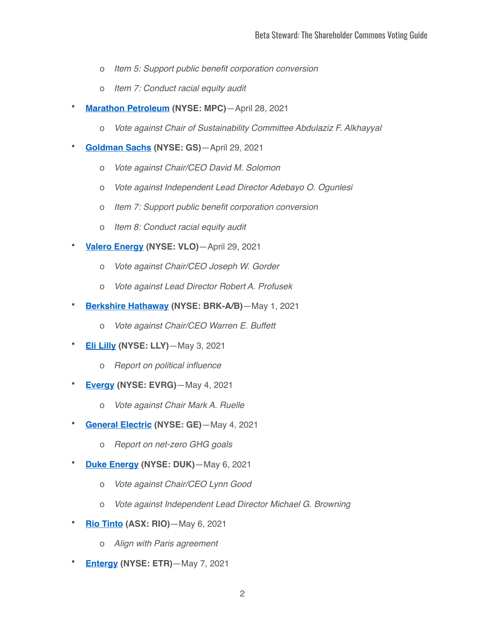- o *Item 5: Support public benefit corporation conversion*
- o *Item 7: Conduct racial equity audit*
- **[Marathon Petroleum](https://www.sec.gov/Archives/edgar/data/1510295/000151029521000046/a2021mpcproxystatement.htm) (NYSE: MPC)**—April 28, 2021
	- o *Vote against Chair of Sustainability Committee Abdulaziz F. Alkhayyal*
- **[Goldman Sachs](https://www.sec.gov/Archives/edgar/data/0000886982/000119312521087020/d88664ddef14a.htm) (NYSE: GS)**—April 29, 2021
	- o *Vote against Chair/CEO David M. Solomon*
	- o *Vote against Independent Lead Director Adebayo O. Ogunlesi*
	- o *Item 7: Support public benefit corporation conversion*
	- o *Item 8: Conduct racial equity audit*
- **[Valero Energy](https://www.sec.gov/Archives/edgar/data/0001035002/000119312521085910/d112273ddef14a.htm) (NYSE: VLO)**—April 29, 2021
	- o *Vote against Chair/CEO Joseph W. Gorder*
	- o *Vote against Lead Director Robert A. Profusek*
- **[Berkshire Hathaway](https://www.sec.gov/Archives/edgar/data/0001067983/000119312521080418/d938053ddef14a.htm) (NYSE: BRK-A/B)**—May 1, 2021
	- o *Vote against Chair/CEO Warren E. Buffett*
- **[Eli Lilly](https://www.sec.gov/Archives/edgar/data/59478/000005947821000090/llypre14a2021.htm) (NYSE: LLY)**—May 3, 2021
	- o *Report on political influence*
- **[Evergy](https://www.sec.gov/Archives/edgar/data/1711269/000119312521092003/d108138ddef14a.htm) (NYSE: EVRG)**—May 4, 2021
	- o *Vote against Chair Mark A. Ruelle*
- **[General Electric](https://www.sec.gov/Archives/edgar/data/0000040545/000120677421000774/ge3816561-def14a.htm#SHAREHOLDERPROPOSALNO3ReportonNetZeroIndicator) (NYSE: GE)**—May 4, 2021
	- o *Report on net-zero GHG goals*
- **[Duke Energy](https://www.sec.gov/Archives/edgar/data/1326160/000104746921000682/a2243101zdef14a.htm) (NYSE: DUK)**—May 6, 2021
	- o *Vote against Chair/CEO Lynn Good*
	- o *Vote against Independent Lead Director Michael G. Browning*
- **[Rio Tinto](https://www.riotinto.com/invest/shareholder-information/annual-general-meetings) (ASX: RIO)**—May 6, 2021
	- o *Align with Paris agreement*
- **[Entergy](https://www.sec.gov/Archives/edgar/data/0000065984/000114036121010291/nc10018858x2_def14a.htm) (NYSE: ETR)**—May 7, 2021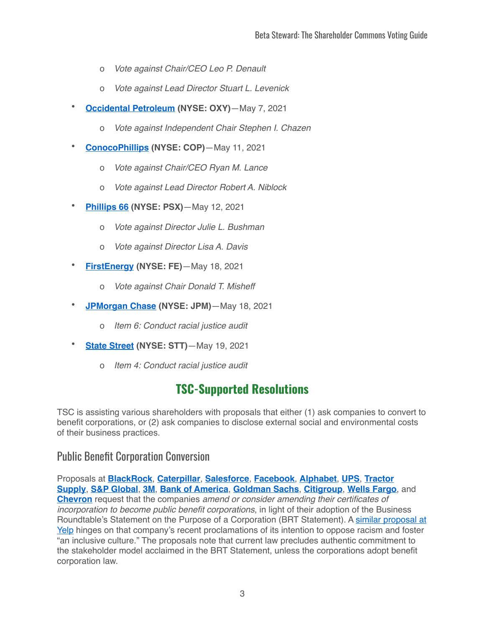- o *Vote against Chair/CEO Leo P. Denault*
- o *Vote against Lead Director Stuart L. Levenick*
- **[Occidental Petroleum](https://www.sec.gov/Archives/edgar/data/797468/000120677421000856/oxy3830511-def14a.htm) (NYSE: OXY)**—May 7, 2021
	- o *Vote against Independent Chair Stephen I. Chazen*
- **[ConocoPhillips](https://www.sec.gov/Archives/edgar/data/1163165/000120677421000875/cop3840471-def14a.htm) (NYSE: COP)**—May 11, 2021
	- o *Vote against Chair/CEO Ryan M. Lance*
	- o *Vote against Lead Director Robert A. Niblock*
- **[Phillips 66](https://www.sec.gov/Archives/edgar/data/0001534701/000114036121010999/nc10021503x3_def14a.htm) (NYSE: PSX)**—May 12, 2021
	- o *Vote against Director Julie L. Bushman*
	- o *Vote against Director Lisa A. Davis*
- **[FirstEnergy](https://www.sec.gov/Archives/edgar/data/1031296/000119312521096807/d116252ddef14a.htm) (NYSE: FE)**—May 18, 2021
	- o *Vote against Chair Donald T. Misheff*
- **[JPMorgan Chase](https://www.sec.gov/Archives/edgar/data/0000019617/000001961721000275/a2021proxystatement.htm) (NYSE: JPM)**—May 18, 2021
	- o *Item 6: Conduct racial justice audit*
- **[State Street](https://www.sec.gov/Archives/edgar/data/93751/000114036121011843/nc10018789x1_def14a.htm) (NYSE: STT)**—May 19, 2021
	- o *Item 4: Conduct racial justice audit*

# **TSC-Supported Resolutions**

TSC is assisting various shareholders with proposals that either (1) ask companies to convert to benefit corporations, or (2) ask companies to disclose external social and environmental costs of their business practices.

#### Public Benefit Corporation Conversion

Proposals at **[BlackRock](https://clicks.aweber.com/y/ct/?l=9wnAq&m=gN.E9N6VYgyzSl.&b=gHNis31RGzWZvpiCLIRFxg)**, **[Caterpillar](https://clicks.aweber.com/y/ct/?l=9wnAq&m=gN.E9N6VYgyzSl.&b=hcQI3ozIA.wrWPkdrelOBw)**, **[Salesforce](https://clicks.aweber.com/y/ct/?l=9wnAq&m=gN.E9N6VYgyzSl.&b=jyLxQfCuT0Lh0HrA4muvyA)**, **[Facebook](https://clicks.aweber.com/y/ct/?l=9wnAq&m=gN.E9N6VYgyzSl.&b=ar4_mCIuzx4EkqQ_C7_C2Q)**, **[Alphabet](https://clicks.aweber.com/y/ct/?l=9wnAq&m=gN.E9N6VYgyzSl.&b=tgrCrCElbWRPY3cdwWrh3Q)**, **[UPS](https://clicks.aweber.com/y/ct/?l=9wnAq&m=gN.E9N6VYgyzSl.&b=7uclKr.qj2SMfYrj0VAInA)**, **[Tractor](https://clicks.aweber.com/y/ct/?l=9wnAq&m=gN.E9N6VYgyzSl.&b=mAGeOTG1MnPCsDaSY61fvw)  [Supply](https://clicks.aweber.com/y/ct/?l=9wnAq&m=gN.E9N6VYgyzSl.&b=mAGeOTG1MnPCsDaSY61fvw)**, **[S&P Global](https://clicks.aweber.com/y/ct/?l=9wnAq&m=gN.E9N6VYgyzSl.&b=XNy0QrlNQwsTBVkm1GctEA)**, **[3M](https://clicks.aweber.com/y/ct/?l=9wnAq&m=gN.E9N6VYgyzSl.&b=jQLHdzMFpTBjMU843M9j8A)**, **[Bank of America](https://www.sec.gov/Archives/edgar/data/0000070858/000119312521072547/d937842ddef14a.htm)**, **[Goldman Sachs](https://theshareholdercommons.com/wp-content/uploads/2021/03/GS-Proposal-PBC.pdf)**, **[Citigroup](https://theshareholdercommons.com/wp-content/uploads/2021/03/C-Proposal-PBC.pdf)**, **[Wells Fargo](https://theshareholdercommons.com/wp-content/uploads/2021/03/WFC-Proposal-PBC-Final.pdf)**, and **[Chevron](https://theshareholdercommons.com/wp-content/uploads/2021/03/CVX-Proposal-PBC.pdf)** request that the companies *amend or consider amending their certificates of incorporation to become public benefit corporations*, in light of their adoption of the Business Roundtable's Statement on the Purpose of a Corporation (BRT Statement). A [similar proposal at](https://clicks.aweber.com/y/ct/?l=9wnAq&m=gN.E9N6VYgyzSl.&b=OylE9uTKDaLWBR9veicApQ)  [Yelp](https://clicks.aweber.com/y/ct/?l=9wnAq&m=gN.E9N6VYgyzSl.&b=OylE9uTKDaLWBR9veicApQ) hinges on that company's recent proclamations of its intention to oppose racism and foster "an inclusive culture." The proposals note that current law precludes authentic commitment to the stakeholder model acclaimed in the BRT Statement, unless the corporations adopt benefit corporation law.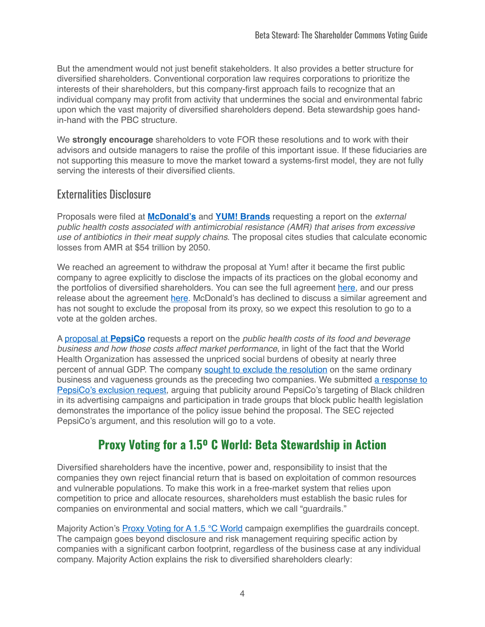But the amendment would not just benefit stakeholders. It also provides a better structure for diversified shareholders. Conventional corporation law requires corporations to prioritize the interests of their shareholders, but this company-first approach fails to recognize that an individual company may profit from activity that undermines the social and environmental fabric upon which the vast majority of diversified shareholders depend. Beta stewardship goes handin-hand with the PBC structure.

We **strongly encourage** shareholders to vote FOR these resolutions and to work with their advisors and outside managers to raise the profile of this important issue. If these fiduciaries are not supporting this measure to move the market toward a systems-first model, they are not fully serving the interests of their diversified clients.

#### Externalities Disclosure

Proposals were filed at **[McDonald's](https://clicks.aweber.com/y/ct/?l=9wnAq&m=gN.E9N6VYgyzSl.&b=RT6EKr6Ibbdjb2eJL1gwLw)** and **[YUM! Brands](https://clicks.aweber.com/y/ct/?l=9wnAq&m=gN.E9N6VYgyzSl.&b=rxgI.piU839HPrfbFmuUsw)** requesting a report on the *external public health costs associated with antimicrobial resistance (AMR) that arises from excessive use of antibiotics in their meat supply chains*. The proposal cites studies that calculate economic losses from AMR at \$54 trillion by 2050.

We reached an agreement to withdraw the proposal at Yum! after it became the first public company to agree explicitly to disclose the impacts of its practices on the global economy and the portfolios of diversified shareholders. You can see the full agreement [here,](https://theshareholdercommons.com/wp-content/uploads/2021/03/YUM-ED-AMR-Withdrawal-Agreement.pdf) and our press release about the agreement [here.](https://www.prnewswire.com/news-releases/the-shareholder-commons-announces-withdrawal-of-shareholder-proposal-after-yum-brands-commits-to-disclose-systemic-costs-of-antibiotic-use-301239878.html) McDonald's has declined to discuss a similar agreement and has not sought to exclude the proposal from its proxy, so we expect this resolution to go to a vote at the golden arches.

A [proposal at](https://clicks.aweber.com/y/ct/?l=9wnAq&m=gN.E9N6VYgyzSl.&b=pjeNEzBlreh8UH9J0iUgjg) **PepsiCo** requests a report on the *public health costs of its food and beverage business and how those costs affect market performance*, in light of the fact that the World Health Organization has assessed the unpriced social burdens of obesity at nearly three percent of annual GDP. The company [sought to exclude the resolution](https://clicks.aweber.com/y/ct/?l=9wnAq&m=gN.E9N6VYgyzSl.&b=MLBVMKs318N3I2acYTDpiA) on the same ordinary business and vagueness grounds as the preceding two companies. We submitted [a response to](https://clicks.aweber.com/y/ct/?l=9wnAq&m=gN.E9N6VYgyzSl.&b=7aGS8lEcKTTNr9BZnkltlQ)  [PepsiCo's exclusion request,](https://clicks.aweber.com/y/ct/?l=9wnAq&m=gN.E9N6VYgyzSl.&b=7aGS8lEcKTTNr9BZnkltlQ) arguing that publicity around PepsiCo's targeting of Black children in its advertising campaigns and participation in trade groups that block public health legislation demonstrates the importance of the policy issue behind the proposal. The SEC rejected PepsiCo's argument, and this resolution will go to a vote.

### **Proxy Voting for a 1.5º C World: Beta Stewardship in Action**

Diversified shareholders have the incentive, power and, responsibility to insist that the companies they own reject financial return that is based on exploitation of common resources and vulnerable populations. To make this work in a free-market system that relies upon competition to price and allocate resources, shareholders must establish the basic rules for companies on environmental and social matters, which we call "guardrails."

Majority Action's [Proxy Voting for A 1.5 °C World](https://www.proxyvoting.majorityaction.us/) campaign exemplifies the quardrails concept. The campaign goes beyond disclosure and risk management requiring specific action by companies with a significant carbon footprint, regardless of the business case at any individual company. Majority Action explains the risk to diversified shareholders clearly: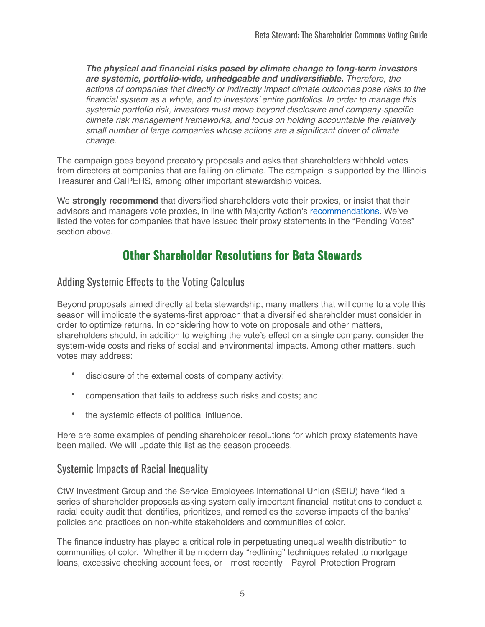*The physical and financial risks posed by climate change to long-term investors are systemic, portfolio-wide, unhedgeable and undiversifiable. Therefore, the actions of companies that directly or indirectly impact climate outcomes pose risks to the financial system as a whole, and to investors' entire portfolios. In order to manage this systemic portfolio risk, investors must move beyond disclosure and company-specific climate risk management frameworks, and focus on holding accountable the relatively small number of large companies whose actions are a significant driver of climate change.*

The campaign goes beyond precatory proposals and asks that shareholders withhold votes from directors at companies that are failing on climate. The campaign is supported by the Illinois Treasurer and CalPERS, among other important stewardship voices.

We **strongly recommend** that diversified shareholders vote their proxies, or insist that their advisors and managers vote proxies, in line with Majority Action's [recommendations](https://www.proxyvoting.majorityaction.us/proxy-voting-guide). We've listed the votes for companies that have issued their proxy statements in the "Pending Votes" section above.

### **Other Shareholder Resolutions for Beta Stewards**

### Adding Systemic Effects to the Voting Calculus

Beyond proposals aimed directly at beta stewardship, many matters that will come to a vote this season will implicate the systems-first approach that a diversified shareholder must consider in order to optimize returns. In considering how to vote on proposals and other matters, shareholders should, in addition to weighing the vote's effect on a single company, consider the system-wide costs and risks of social and environmental impacts. Among other matters, such votes may address:

- disclosure of the external costs of company activity;
- compensation that fails to address such risks and costs; and
- the systemic effects of political influence.

Here are some examples of pending shareholder resolutions for which proxy statements have been mailed. We will update this list as the season proceeds.

#### Systemic Impacts of Racial Inequality

CtW Investment Group and the Service Employees International Union (SEIU) have filed a series of shareholder proposals asking systemically important financial institutions to conduct a racial equity audit that identifies, prioritizes, and remedies the adverse impacts of the banks' policies and practices on non-white stakeholders and communities of color.

The finance industry has played a critical role in perpetuating unequal wealth distribution to communities of color. Whether it be modern day "redlining" techniques related to mortgage loans, excessive checking account fees, or—most recently—Payroll Protection Program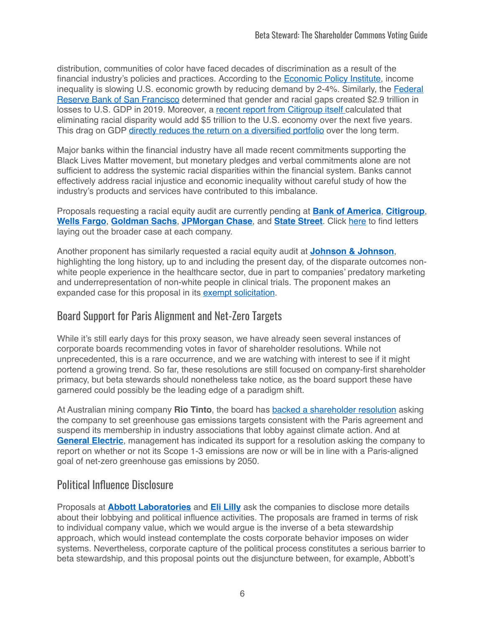distribution, communities of color have faced decades of discrimination as a result of the financial industry's policies and practices. According to the [Economic Policy Institute,](https://www.epi.org/publication/secular-stagnation/) income inequality is slowing U.S. economic growth by reducing demand by 2-4%. Similarly, the [Federal](https://www.frbsf.org/our-district/files/economic-gains-from-equity.pdf)  [Reserve Bank of San Francisco](https://www.frbsf.org/our-district/files/economic-gains-from-equity.pdf) determined that gender and racial gaps created \$2.9 trillion in losses to U.S. GDP in 2019. Moreover, a [recent report from Citigroup itself](http://citi.us/3olxWH0) calculated that eliminating racial disparity would add \$5 trillion to the U.S. economy over the next five years. This drag on GDP [directly reduces the return on a diversified portfolio](https://www.unepfi.org/fileadmin/documents/universal_ownership_full.pdf) over the long term.

Major banks within the financial industry have all made recent commitments supporting the Black Lives Matter movement, but monetary pledges and verbal commitments alone are not sufficient to address the systemic racial disparities within the financial system. Banks cannot effectively address racial injustice and economic inequality without careful study of how the industry's products and services have contributed to this imbalance.

Proposals requesting a racial equity audit are currently pending at **[Bank of America](https://www.sec.gov/Archives/edgar/data/0000070858/000119312521072547/d937842ddef14a.htm)**, **[Citigroup](https://www.sec.gov/Archives/edgar/data/0000831001/000120677421000735/citi3828191-def14a.htm)**, **[Wells Fargo](https://www.sec.gov/Archives/edgar/data/72971/000119312521082907/d71313ddef14a.htm)**, **[Goldman Sachs](https://www.sec.gov/Archives/edgar/data/0000886982/000119312521087020/d88664ddef14a.htm)**, **[JPMorgan Chase](https://www.sec.gov/Archives/edgar/data/0000019617/000001961721000275/a2021proxystatement.htm)**, and **[State Street](https://www.sec.gov/Archives/edgar/data/93751/000114036121011843/nc10018789x1_def14a.htm)**. Click [here](https://ctwinvestmentgroup.com/racial-equity-audit) to find letters laying out the broader case at each company.

Another proponent has similarly requested a racial equity audit at **[Johnson & Johnson](https://www.sec.gov/Archives/edgar/data/200406/000020040621000011/jnjproxy2021.htm)**, highlighting the long history, up to and including the present day, of the disparate outcomes nonwhite people experience in the healthcare sector, due in part to companies' predatory marketing and underrepresentation of non-white people in clinical trials. The proponent makes an expanded case for this proposal in its [exempt solicitation](https://www.sec.gov/Archives/edgar/data/200406/000121465921003496/r326211px14a6g.htm).

### Board Support for Paris Alignment and Net-Zero Targets

While it's still early days for this proxy season, we have already seen several instances of corporate boards recommending votes in favor of shareholder resolutions. While not unprecedented, this is a rare occurrence, and we are watching with interest to see if it might portend a growing trend. So far, these resolutions are still focused on company-first shareholder primacy, but beta stewards should nonetheless take notice, as the board support these have garnered could possibly be the leading edge of a paradigm shift.

At Australian mining company **Rio Tinto**, the board has [backed a shareholder resolution](https://www.riotinto.com/invest/shareholder-information/annual-general-meetings) asking the company to set greenhouse gas emissions targets consistent with the Paris agreement and suspend its membership in industry associations that lobby against climate action. And at **[General Electric](https://www.sec.gov/Archives/edgar/data/0000040545/000120677421000774/ge3816561-def14a.htm#SHAREHOLDERPROPOSALNO3ReportonNetZeroIndicator)**, management has indicated its support for a resolution asking the company to report on whether or not its Scope 1-3 emissions are now or will be in line with a Paris-aligned goal of net-zero greenhouse gas emissions by 2050.

#### Political Influence Disclosure

Proposals at **[Abbott Laboratories](https://www.sec.gov/Archives/edgar/data/1800/000104746921000455/a2242893zpre14a.htm#A)** and **[Eli Lilly](https://www.sec.gov/Archives/edgar/data/59478/000005947821000090/llypre14a2021.htm#i91a834f8fe29450c9f0cc1a4c4cc95aa_103)** ask the companies to disclose more details about their lobbying and political influence activities. The proposals are framed in terms of risk to individual company value, which we would argue is the inverse of a beta stewardship approach, which would instead contemplate the costs corporate behavior imposes on wider systems. Nevertheless, corporate capture of the political process constitutes a serious barrier to beta stewardship, and this proposal points out the disjuncture between, for example, Abbott's